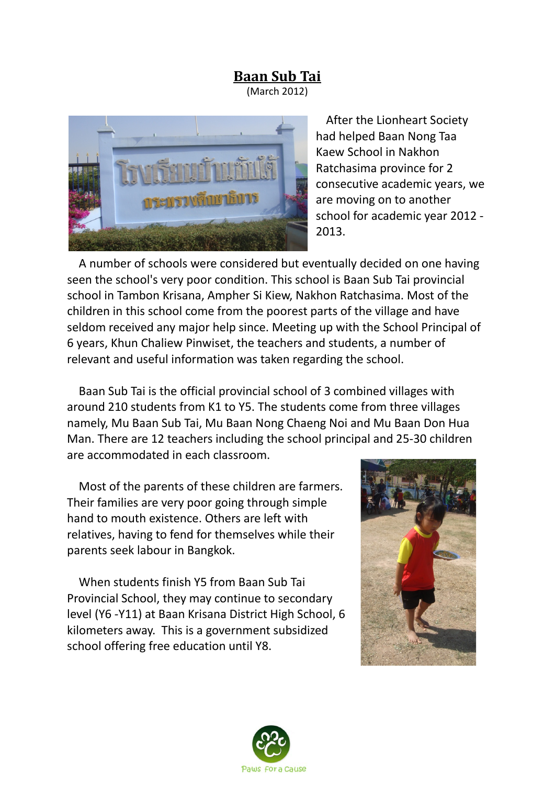## **Baan Sub Tai**

(March 2012)



 After the Lionheart Society had helped Baan Nong Taa Kaew School in Nakhon Ratchasima province for 2 consecutive academic years, we are moving on to another school for academic year 2012 - 2013.

 A number of schools were considered but eventually decided on one having seen the school's very poor condition. This school is Baan Sub Tai provincial school in Tambon Krisana, Ampher Si Kiew, Nakhon Ratchasima. Most of the children in this school come from the poorest parts of the village and have seldom received any major help since. Meeting up with the School Principal of 6 years, Khun Chaliew Pinwiset, the teachers and students, a number of relevant and useful information was taken regarding the school.

 Baan Sub Tai is the official provincial school of 3 combined villages with around 210 students from K1 to Y5. The students come from three villages namely, Mu Baan Sub Tai, Mu Baan Nong Chaeng Noi and Mu Baan Don Hua Man. There are 12 teachers including the school principal and 25-30 children are accommodated in each classroom.

 Most of the parents of these children are farmers. Their families are very poor going through simple hand to mouth existence. Others are left with relatives, having to fend for themselves while their parents seek labour in Bangkok.

 When students finish Y5 from Baan Sub Tai Provincial School, they may continue to secondary level (Y6 -Y11) at Baan Krisana District High School, 6 kilometers away. This is a government subsidized school offering free education until Y8.



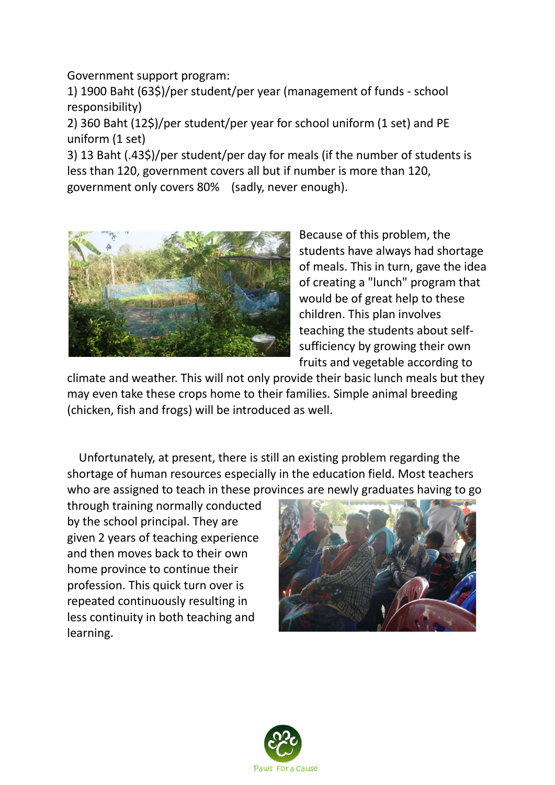Government support program:

1) 1900 Baht (63\$)/per student/per year (management of funds - school responsibility)

2) 360 Baht (12\$)/per student/per year for school uniform (1 set) and PE uniform (1 set)

3) 13 Baht (.43\$)/per student/per day for meals (if the number of students is less than 120, government covers all but if number is more than 120, government only covers 80% (sadly, never enough).



Because of this problem, the students have always had shortage of meals. This in turn, gave the idea of creating a "lunch" program that would be of great help to these children. This plan involves teaching the students about selfsufficiency by growing their own fruits and vegetable according to

climate and weather. This will not only provide their basic lunch meals but they may even take these crops home to their families. Simple animal breeding (chicken, fish and frogs) will be introduced as well.

 Unfortunately, at present, there is still an existing problem regarding the shortage of human resources especially in the education field. Most teachers who are assigned to teach in these provinces are newly graduates having to go

through training normally conducted by the school principal. They are given 2 years of teaching experience and then moves back to their own home province to continue their profession. This quick turn over is repeated continuously resulting in less continuity in both teaching and learning.



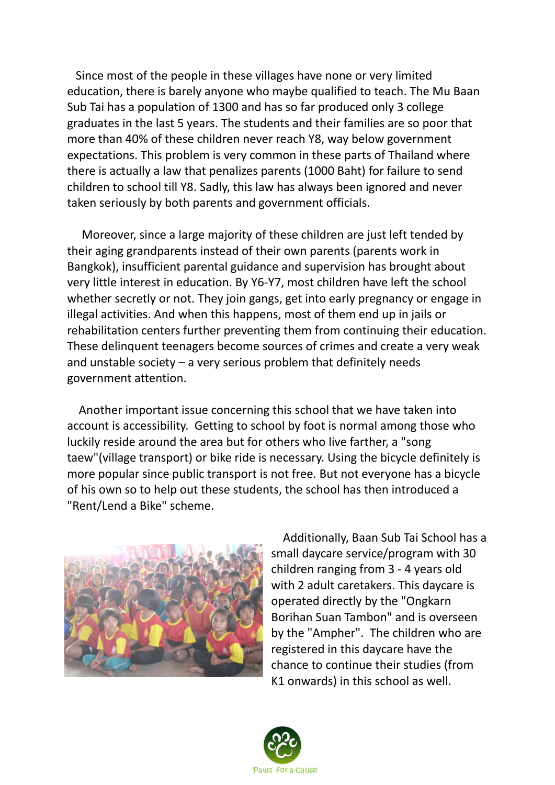Since most of the people in these villages have none or very limited education, there is barely anyone who maybe qualified to teach. The Mu Baan Sub Tai has a population of 1300 and has so far produced only 3 college graduates in the last 5 years. The students and their families are so poor that more than 40% of these children never reach Y8, way below government expectations. This problem is very common in these parts of Thailand where there is actually a law that penalizes parents (1000 Baht) for failure to send children to school till Y8. Sadly, this law has always been ignored and never taken seriously by both parents and government officials.

 Moreover, since a large majority of these children are just left tended by their aging grandparents instead of their own parents (parents work in Bangkok), insufficient parental guidance and supervision has brought about very little interest in education. By Y6-Y7, most children have left the school whether secretly or not. They join gangs, get into early pregnancy or engage in illegal activities. And when this happens, most of them end up in jails or rehabilitation centers further preventing them from continuing their education. These delinquent teenagers become sources of crimes and create a very weak and unstable society  $-$  a very serious problem that definitely needs government attention.

 Another important issue concerning this school that we have taken into account is accessibility. Getting to school by foot is normal among those who luckily reside around the area but for others who live farther, a "song taew"(village transport) or bike ride is necessary. Using the bicycle definitely is more popular since public transport is not free. But not everyone has a bicycle of his own so to help out these students, the school has then introduced a "Rent/Lend a Bike" scheme.



 Additionally, Baan Sub Tai School has a small daycare service/program with 30 children ranging from 3 - 4 years old with 2 adult caretakers. This daycare is operated directly by the "Ongkarn Borihan Suan Tambon" and is overseen by the "Ampher". The children who are registered in this daycare have the chance to continue their studies (from K1 onwards) in this school as well.

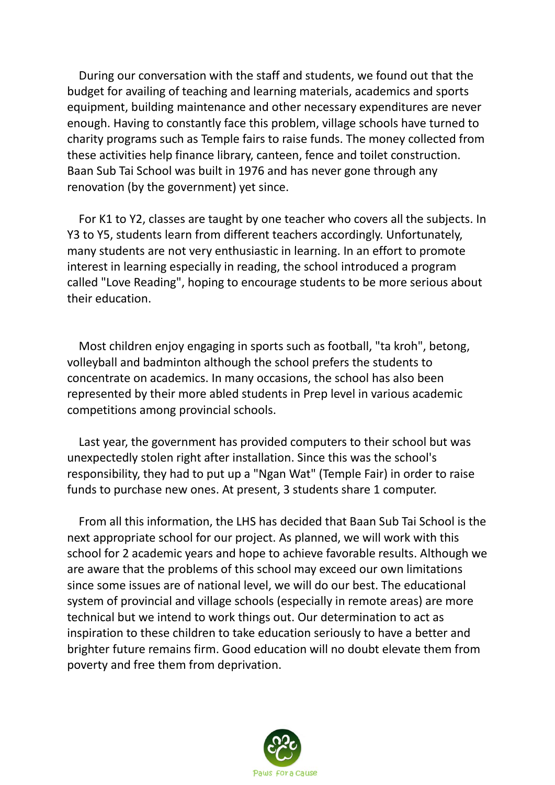During our conversation with the staff and students, we found out that the budget for availing of teaching and learning materials, academics and sports equipment, building maintenance and other necessary expenditures are never enough. Having to constantly face this problem, village schools have turned to charity programs such as Temple fairs to raise funds. The money collected from these activities help finance library, canteen, fence and toilet construction. Baan Sub Tai School was built in 1976 and has never gone through any renovation (by the government) yet since.

 For K1 to Y2, classes are taught by one teacher who covers all the subjects. In Y3 to Y5, students learn from different teachers accordingly. Unfortunately, many students are not very enthusiastic in learning. In an effort to promote interest in learning especially in reading, the school introduced a program called "Love Reading", hoping to encourage students to be more serious about their education.

 Most children enjoy engaging in sports such as football, "ta kroh", betong, volleyball and badminton although the school prefers the students to concentrate on academics. In many occasions, the school has also been represented by their more abled students in Prep level in various academic competitions among provincial schools.

 Last year, the government has provided computers to their school but was unexpectedly stolen right after installation. Since this was the school's responsibility, they had to put up a "Ngan Wat" (Temple Fair) in order to raise funds to purchase new ones. At present, 3 students share 1 computer.

 From all this information, the LHS has decided that Baan Sub Tai School is the next appropriate school for our project. As planned, we will work with this school for 2 academic years and hope to achieve favorable results. Although we are aware that the problems of this school may exceed our own limitations since some issues are of national level, we will do our best. The educational system of provincial and village schools (especially in remote areas) are more technical but we intend to work things out. Our determination to act as inspiration to these children to take education seriously to have a better and brighter future remains firm. Good education will no doubt elevate them from poverty and free them from deprivation.